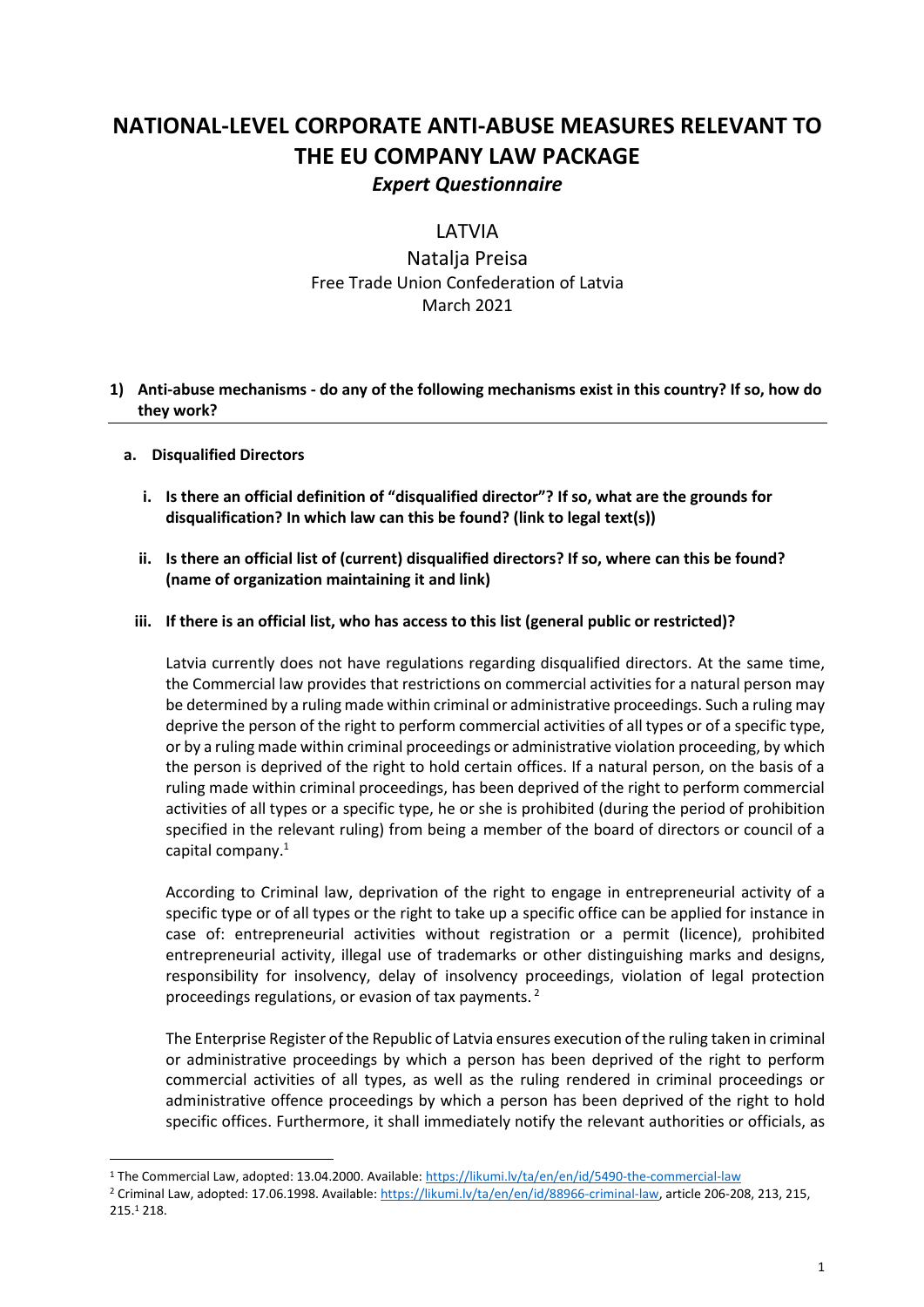# **NATIONAL-LEVEL CORPORATE ANTI-ABUSE MEASURES RELEVANT TO THE EU COMPANY LAW PACKAGE** *Expert Questionnaire*

**LATVIA** 

Natalja Preisa Free Trade Union Confederation of Latvia March 2021

## **1) Anti-abuse mechanisms - do any of the following mechanisms exist in this country? If so, how do they work?**

## **a. Disqualified Directors**

- **i. Is there an official definition of "disqualified director"? If so, what are the grounds for disqualification? In which law can this be found? (link to legal text(s))**
- **ii. Is there an official list of (current) disqualified directors? If so, where can this be found? (name of organization maintaining it and link)**

## **iii. If there is an official list, who has access to this list (general public or restricted)?**

Latvia currently does not have regulations regarding disqualified directors. At the same time, the Commercial law provides that restrictions on commercial activities for a natural person may be determined by a ruling made within criminal or administrative proceedings. Such a ruling may deprive the person of the right to perform commercial activities of all types or of a specific type, or by a ruling made within criminal proceedings or administrative violation proceeding, by which the person is deprived of the right to hold certain offices. If a natural person, on the basis of a ruling made within criminal proceedings, has been deprived of the right to perform commercial activities of all types or a specific type, he or she is prohibited (during the period of prohibition specified in the relevant ruling) from being a member of the board of directors or council of a capital company.<sup>1</sup>

According to Criminal law, deprivation of the right to engage in entrepreneurial activity of a specific type or of all types or the right to take up a specific office can be applied for instance in case of: entrepreneurial activities without registration or a permit (licence), prohibited entrepreneurial activity, illegal use of trademarks or other distinguishing marks and designs, responsibility for insolvency, delay of insolvency proceedings, violation of legal protection proceedings regulations, or evasion of tax payments.  $2^2$ 

The Enterprise Register of the Republic of Latvia ensures execution of the ruling taken in criminal or administrative proceedings by which a person has been deprived of the right to perform commercial activities of all types, as well as the ruling rendered in criminal proceedings or administrative offence proceedings by which a person has been deprived of the right to hold specific offices. Furthermore, it shall immediately notify the relevant authorities or officials, as

<sup>1</sup> The Commercial Law, adopted: 13.04.2000. Available[: https://likumi.lv/ta/en/en/id/5490-the-commercial-law](https://likumi.lv/ta/en/en/id/5490-the-commercial-law) 

<sup>2</sup> Criminal Law, adopted: 17.06.1998. Available[: https://likumi.lv/ta/en/en/id/88966-criminal-law,](https://likumi.lv/ta/en/en/id/88966-criminal-law) article 206-208, 213, 215, 215.<sup>1</sup> 218.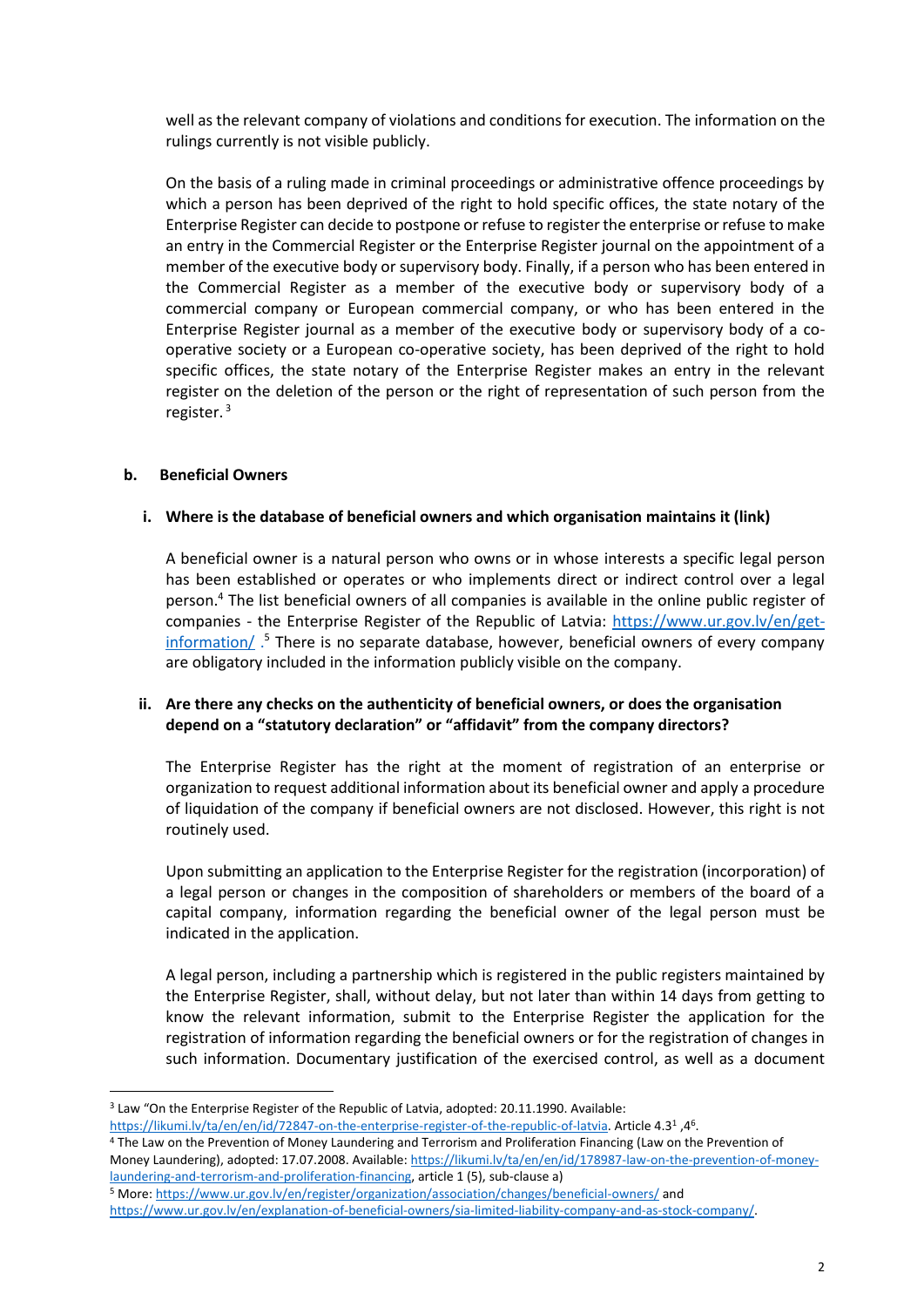well as the relevant company of violations and conditions for execution. The information on the rulings currently is not visible publicly.

On the basis of a ruling made in criminal proceedings or administrative offence proceedings by which a person has been deprived of the right to hold specific offices, the state notary of the Enterprise Register can decide to postpone or refuse to register the enterprise or refuse to make an entry in the Commercial Register or the Enterprise Register journal on the appointment of a member of the executive body or supervisory body. Finally, if a person who has been entered in the Commercial Register as a member of the executive body or supervisory body of a commercial company or European commercial company, or who has been entered in the Enterprise Register journal as a member of the executive body or supervisory body of a cooperative society or a European co-operative society, has been deprived of the right to hold specific offices, the state notary of the Enterprise Register makes an entry in the relevant register on the deletion of the person or the right of representation of such person from the register. 3

## **b. Beneficial Owners**

## **i. Where is the database of beneficial owners and which organisation maintains it (link)**

A beneficial owner is a natural person who owns or in whose interests a specific legal person has been established or operates or who implements direct or indirect control over a legal person.<sup>4</sup> The list beneficial owners of all companies is available in the online public register of companies - the Enterprise Register of the Republic of Latvia: [https://www.ur.gov.lv/en/get](https://www.ur.gov.lv/en/get-information/)[information/](https://www.ur.gov.lv/en/get-information/)<sup>5</sup> There is no separate database, however, beneficial owners of every company are obligatory included in the information publicly visible on the company.

## **ii. Are there any checks on the authenticity of beneficial owners, or does the organisation depend on a "statutory declaration" or "affidavit" from the company directors?**

The Enterprise Register has the right at the moment of registration of an enterprise or organization to request additional information about its beneficial owner and apply a procedure of liquidation of the company if beneficial owners are not disclosed. However, this right is not routinely used.

Upon submitting an application to the Enterprise Register for the registration (incorporation) of a legal person or changes in the composition of shareholders or members of the board of a capital company, information regarding the beneficial owner of the legal person must be indicated in the application.

A legal person, including a partnership which is registered in the public registers maintained by the Enterprise Register, shall, without delay, but not later than within 14 days from getting to know the relevant information, submit to the Enterprise Register the application for the registration of information regarding the beneficial owners or for the registration of changes in such information. Documentary justification of the exercised control, as well as a document

<sup>3</sup> Law "On the Enterprise Register of the Republic of Latvia, adopted: 20.11.1990. Available:

<sup>.46, 45.</sup> Article 4.31 [https://likumi.lv/ta/en/en/id/72847-on-the-enterprise-register-of-the-republic-of-latvia.](https://likumi.lv/ta/en/en/id/72847-on-the-enterprise-register-of-the-republic-of-latvia) Article 4.3<sup>1</sup>

<sup>4</sup> The Law on the Prevention of Money Laundering and Terrorism and Proliferation Financing (Law on the Prevention of Money Laundering), adopted: 17.07.2008. Available: [https://likumi.lv/ta/en/en/id/178987-law-on-the-prevention-of-money](https://likumi.lv/ta/en/en/id/178987-law-on-the-prevention-of-money-laundering-and-terrorism-and-proliferation-financing)[laundering-and-terrorism-and-proliferation-financing,](https://likumi.lv/ta/en/en/id/178987-law-on-the-prevention-of-money-laundering-and-terrorism-and-proliferation-financing) article 1 (5), sub-clause a)

<sup>5</sup> More[: https://www.ur.gov.lv/en/register/organization/association/changes/beneficial-owners/](https://www.ur.gov.lv/en/register/organization/association/changes/beneficial-owners/) and

[https://www.ur.gov.lv/en/explanation-of-beneficial-owners/sia-limited-liability-company-and-as-stock-company/.](https://www.ur.gov.lv/en/explanation-of-beneficial-owners/sia-limited-liability-company-and-as-stock-company/)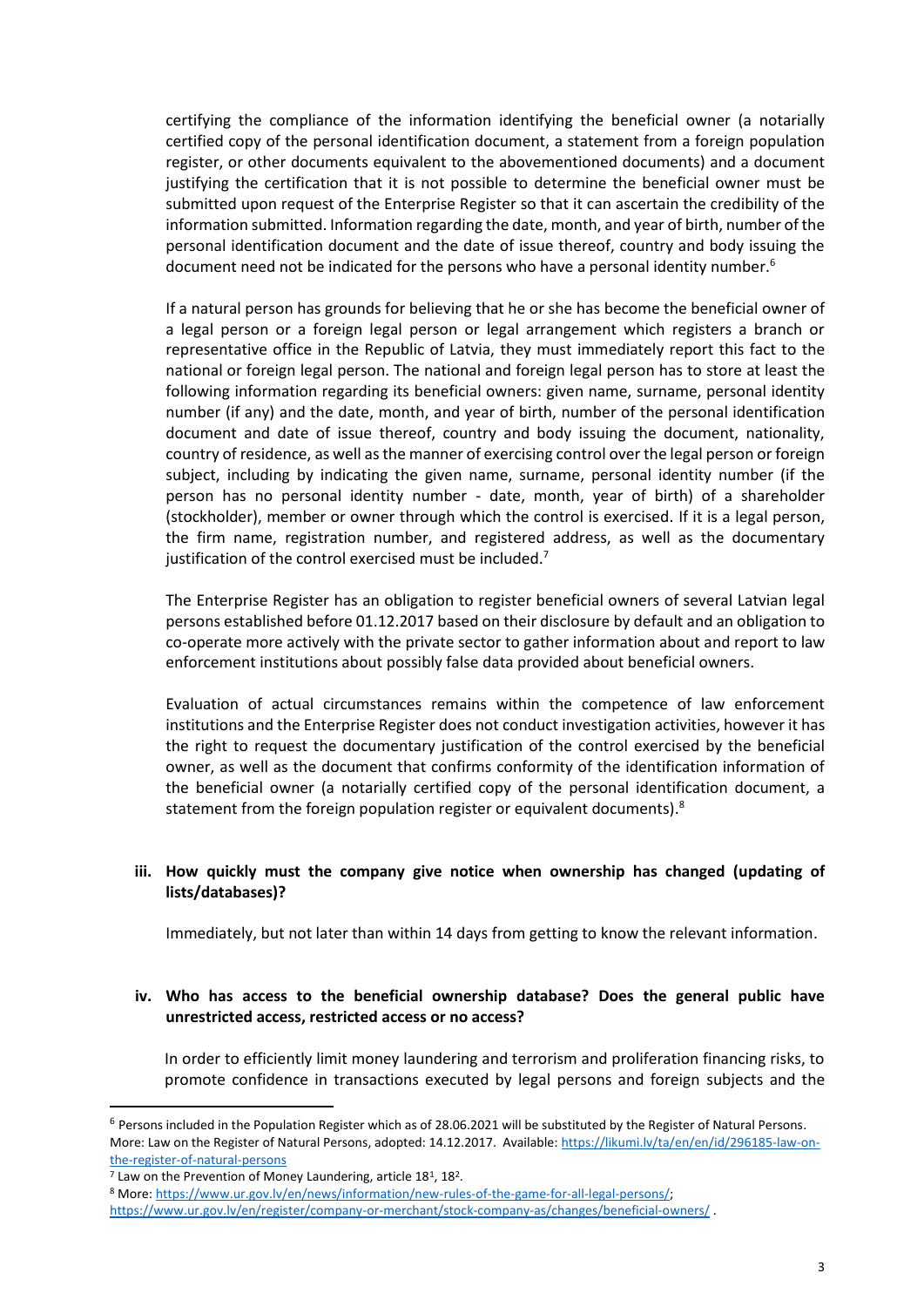certifying the compliance of the information identifying the beneficial owner (a notarially certified copy of the personal identification document, a statement from a foreign population register, or other documents equivalent to the abovementioned documents) and a document justifying the certification that it is not possible to determine the beneficial owner must be submitted upon request of the Enterprise Register so that it can ascertain the credibility of the information submitted. Information regarding the date, month, and year of birth, number of the personal identification document and the date of issue thereof, country and body issuing the document need not be indicated for the persons who have a personal identity number.<sup>6</sup>

If a natural person has grounds for believing that he or she has become the beneficial owner of a legal person or a foreign legal person or legal arrangement which registers a branch or representative office in the Republic of Latvia, they must immediately report this fact to the national or foreign legal person. The national and foreign legal person has to store at least the following information regarding its beneficial owners: given name, surname, personal identity number (if any) and the date, month, and year of birth, number of the personal identification document and date of issue thereof, country and body issuing the document, nationality, country of residence, as well as the manner of exercising control over the legal person or foreign subject, including by indicating the given name, surname, personal identity number (if the person has no personal identity number - date, month, year of birth) of a shareholder (stockholder), member or owner through which the control is exercised. If it is a legal person, the firm name, registration number, and registered address, as well as the documentary justification of the control exercised must be included.<sup>7</sup>

The Enterprise Register has an obligation to register beneficial owners of several Latvian legal persons established before 01.12.2017 based on their disclosure by default and an obligation to co-operate more actively with the private sector to gather information about and report to law enforcement institutions about possibly false data provided about beneficial owners.

Evaluation of actual circumstances remains within the competence of law enforcement institutions and the Enterprise Register does not conduct investigation activities, however it has the right to request the documentary justification of the control exercised by the beneficial owner, as well as the document that confirms conformity of the identification information of the beneficial owner (a notarially certified copy of the personal identification document, a statement from the foreign population register or equivalent documents).<sup>8</sup>

# **iii. How quickly must the company give notice when ownership has changed (updating of lists/databases)?**

Immediately, but not later than within 14 days from getting to know the relevant information.

## **iv. Who has access to the beneficial ownership database? Does the general public have unrestricted access, restricted access or no access?**

In order to efficiently limit money laundering and terrorism and proliferation financing risks, to promote confidence in transactions executed by legal persons and foreign subjects and the

 $6$  Persons included in the Population Register which as of 28.06.2021 will be substituted by the Register of Natural Persons. More: Law on the Register of Natural Persons, adopted: 14.12.2017. Available: [https://likumi.lv/ta/en/en/id/296185-law-on](https://likumi.lv/ta/en/en/id/296185-law-on-the-register-of-natural-persons)[the-register-of-natural-persons](https://likumi.lv/ta/en/en/id/296185-law-on-the-register-of-natural-persons)

 $7$  Law on the Prevention of Money Laundering, article 18<sup>1</sup>, 18<sup>2</sup>.

<sup>8</sup> More[: https://www.ur.gov.lv/en/news/information/new-rules-of-the-game-for-all-legal-persons/;](https://www.ur.gov.lv/en/news/information/new-rules-of-the-game-for-all-legal-persons/)

<https://www.ur.gov.lv/en/register/company-or-merchant/stock-company-as/changes/beneficial-owners/> .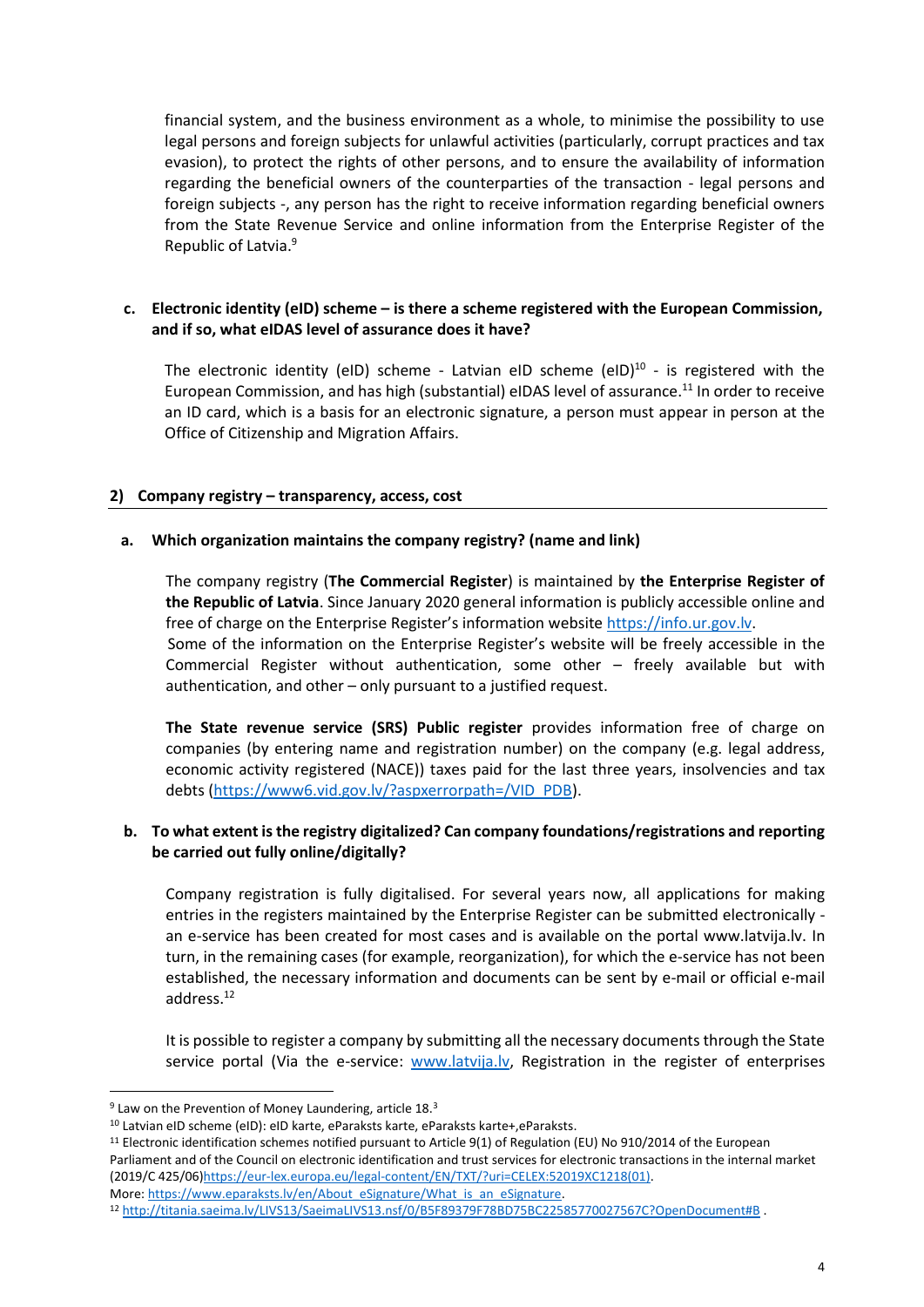financial system, and the business environment as a whole, to minimise the possibility to use legal persons and foreign subjects for unlawful activities (particularly, corrupt practices and tax evasion), to protect the rights of other persons, and to ensure the availability of information regarding the beneficial owners of the counterparties of the transaction - legal persons and foreign subjects -, any person has the right to receive information regarding beneficial owners from the State Revenue Service and online information from the Enterprise Register of the Republic of Latvia. 9

## **c. Electronic identity (eID) scheme – is there a scheme registered with the European Commission, and if so, what eIDAS level of assurance does it have?**

The electronic identity (eID) scheme - Latvian eID scheme (eID) $^{10}$  - is registered with the European Commission, and has high (substantial) eIDAS level of assurance.<sup>11</sup> In order to receive an ID card, which is a basis for an electronic signature, a person must appear in person at the Office of Citizenship and Migration Affairs.

## **2) Company registry – transparency, access, cost**

#### **a. Which organization maintains the company registry? (name and link)**

The company registry (**The Commercial Register**) is maintained by **the Enterprise Register of the Republic of Latvia**. Since January 2020 general information is publicly accessible online and free of charge on the Enterprise Register's information website [https://info.ur.gov.lv.](https://info.ur.gov.lv/) Some of the information on the Enterprise Register's website will be freely accessible in the Commercial Register without authentication, some other – freely available but with authentication, and other – only pursuant to a justified request.

**The State revenue service (SRS) Public register** provides information free of charge on companies (by entering name and registration number) on the company (e.g. legal address, economic activity registered (NACE)) taxes paid for the last three years, insolvencies and tax debts [\(https://www6.vid.gov.lv/?aspxerrorpath=/VID\\_PDB\)](https://www6.vid.gov.lv/?aspxerrorpath=/VID_PDB).

## **b. To what extent is the registry digitalized? Can company foundations/registrations and reporting be carried out fully online/digitally?**

Company registration is fully digitalised. For several years now, all applications for making entries in the registers maintained by the Enterprise Register can be submitted electronically an e-service has been created for most cases and is available on the portal www.latvija.lv. In turn, in the remaining cases (for example, reorganization), for which the e-service has not been established, the necessary information and documents can be sent by e-mail or official e-mail address.<sup>12</sup>

It is possible to register a company by submitting all the necessary documents through the State service portal (Via the e-service: [www.latvija.lv,](http://www.latvija.lv/) Registration in the register of enterprises

 $9$  Law on the Prevention of Money Laundering, article 18. $3$ 

<sup>10</sup> Latvian eID scheme (eID): eID karte, eParaksts karte, eParaksts karte+,eParaksts.

<sup>11</sup> Electronic identification schemes notified pursuant to Article 9(1) of Regulation (EU) No 910/2014 of the European Parliament and of the Council on electronic identification and trust services for electronic transactions in the internal market (2019/C 425/06[\)https://eur-lex.europa.eu/legal-content/EN/TXT/?uri=CELEX:52019XC1218\(01\).](https://eur-lex.europa.eu/legal-content/EN/TXT/?uri=CELEX:52019XC1218(01)) More[: https://www.eparaksts.lv/en/About\\_eSignature/What\\_is\\_an\\_eSignature.](https://www.eparaksts.lv/en/About_eSignature/What_is_an_eSignature)

<sup>12</sup> <http://titania.saeima.lv/LIVS13/SaeimaLIVS13.nsf/0/B5F89379F78BD75BC22585770027567C?OpenDocument#B> .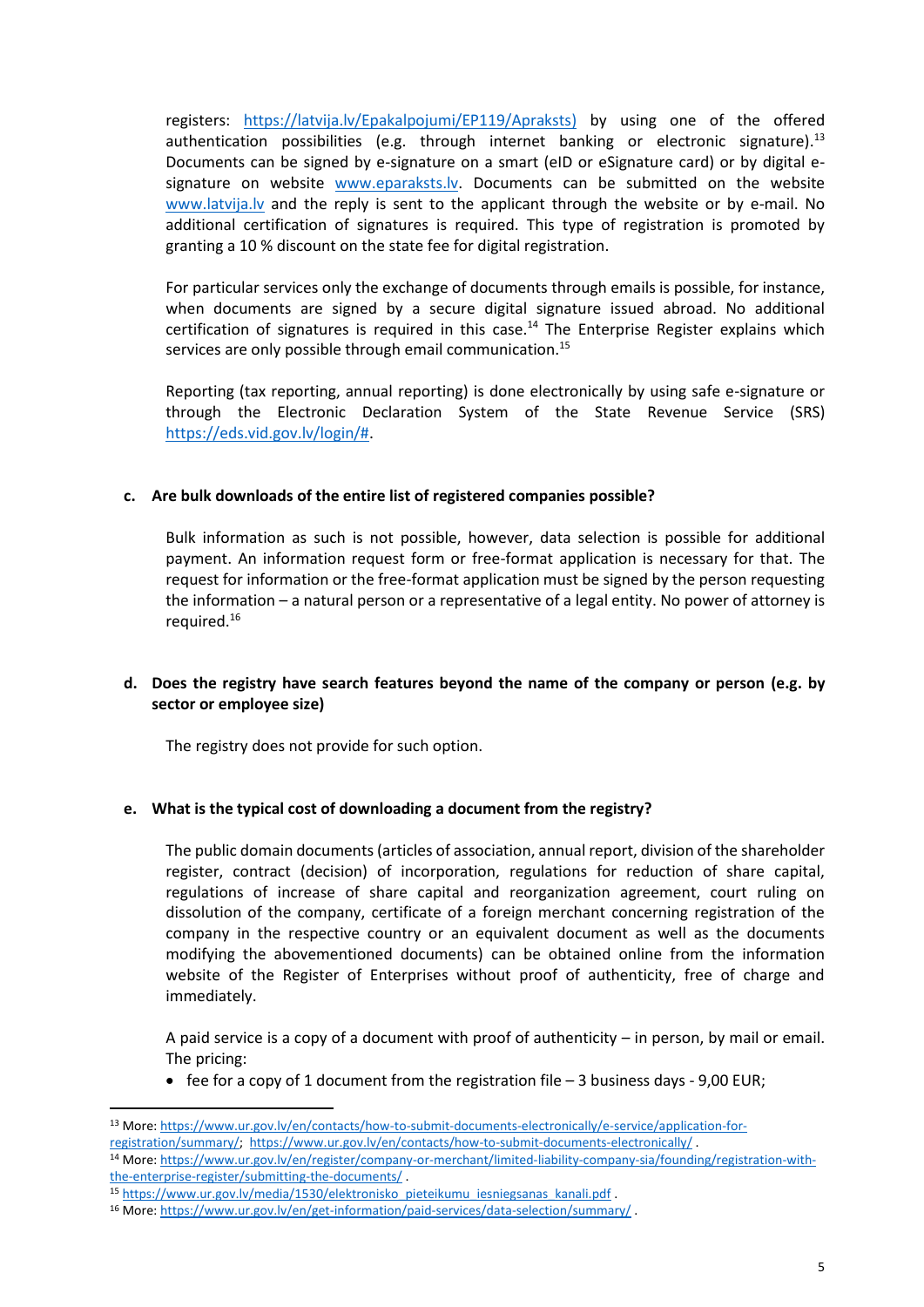registers: [https://latvija.lv/Epakalpojumi/EP119/Apraksts\)](https://latvija.lv/Epakalpojumi/EP119/Apraksts) by using one of the offered authentication possibilities (e.g. through internet banking or electronic signature).<sup>13</sup> Documents can be signed by e-signature on a smart (eID or eSignature card) or by digital esignature on website [www.eparaksts.lv.](http://www.eparaksts.lv/) Documents can be submitted on the website [www.latvija.lv](http://www.latvija.lv/) and the reply is sent to the applicant through the website or by e-mail. No additional certification of signatures is required. This type of registration is promoted by granting a 10 % discount on the state fee for digital registration.

For particular services only the exchange of documents through emails is possible, for instance, when documents are signed by a secure digital signature issued abroad. No additional certification of signatures is required in this case.<sup>14</sup> The Enterprise Register explains which services are only possible through email communication.<sup>15</sup>

Reporting (tax reporting, annual reporting) is done electronically by using safe e-signature or through the Electronic Declaration System of the State Revenue Service (SRS) [https://eds.vid.gov.lv/login/#.](https://eds.vid.gov.lv/login/)

## **c. Are bulk downloads of the entire list of registered companies possible?**

Bulk information as such is not possible, however, data selection is possible for additional payment. An information request form or free-format application is necessary for that. The request for information or the free-format application must be signed by the person requesting the information – a natural person or a representative of a legal entity. No power of attorney is required.<sup>16</sup>

## **d. Does the registry have search features beyond the name of the company or person (e.g. by sector or employee size)**

The registry does not provide for such option.

# **e. What is the typical cost of downloading a document from the registry?**

The public domain documents (articles of association, annual report, division of the shareholder register, contract (decision) of incorporation, regulations for reduction of share capital, regulations of increase of share capital and reorganization agreement, court ruling on dissolution of the company, certificate of a foreign merchant concerning registration of the company in the respective country or an equivalent document as well as the documents modifying the abovementioned documents) can be obtained online from the information website of the Register of Enterprises without proof of authenticity, free of charge and immediately.

A paid service is a copy of a document with proof of authenticity  $-$  in person, by mail or email. The pricing:

• fee for a copy of 1 document from the registration file  $-$  3 business days  $-$  9,00 EUR;

<sup>13</sup> More: [https://www.ur.gov.lv/en/contacts/how-to-submit-documents-electronically/e-service/application-for](https://www.ur.gov.lv/en/contacts/how-to-submit-documents-electronically/e-service/application-for-registration/summary/)[registration/summary/;](https://www.ur.gov.lv/en/contacts/how-to-submit-documents-electronically/e-service/application-for-registration/summary/) <https://www.ur.gov.lv/en/contacts/how-to-submit-documents-electronically/> .

<sup>14</sup> More[: https://www.ur.gov.lv/en/register/company-or-merchant/limited-liability-company-sia/founding/registration-with](https://www.ur.gov.lv/en/register/company-or-merchant/limited-liability-company-sia/founding/registration-with-the-enterprise-register/submitting-the-documents/)[the-enterprise-register/submitting-the-documents/](https://www.ur.gov.lv/en/register/company-or-merchant/limited-liability-company-sia/founding/registration-with-the-enterprise-register/submitting-the-documents/) .

<sup>15</sup> [https://www.ur.gov.lv/media/1530/elektronisko\\_pieteikumu\\_iesniegsanas\\_kanali.pdf](https://www.ur.gov.lv/media/1530/elektronisko_pieteikumu_iesniegsanas_kanali.pdf) .

<sup>16</sup> More[: https://www.ur.gov.lv/en/get-information/paid-services/data-selection/summary/](https://www.ur.gov.lv/en/get-information/paid-services/data-selection/summary/) .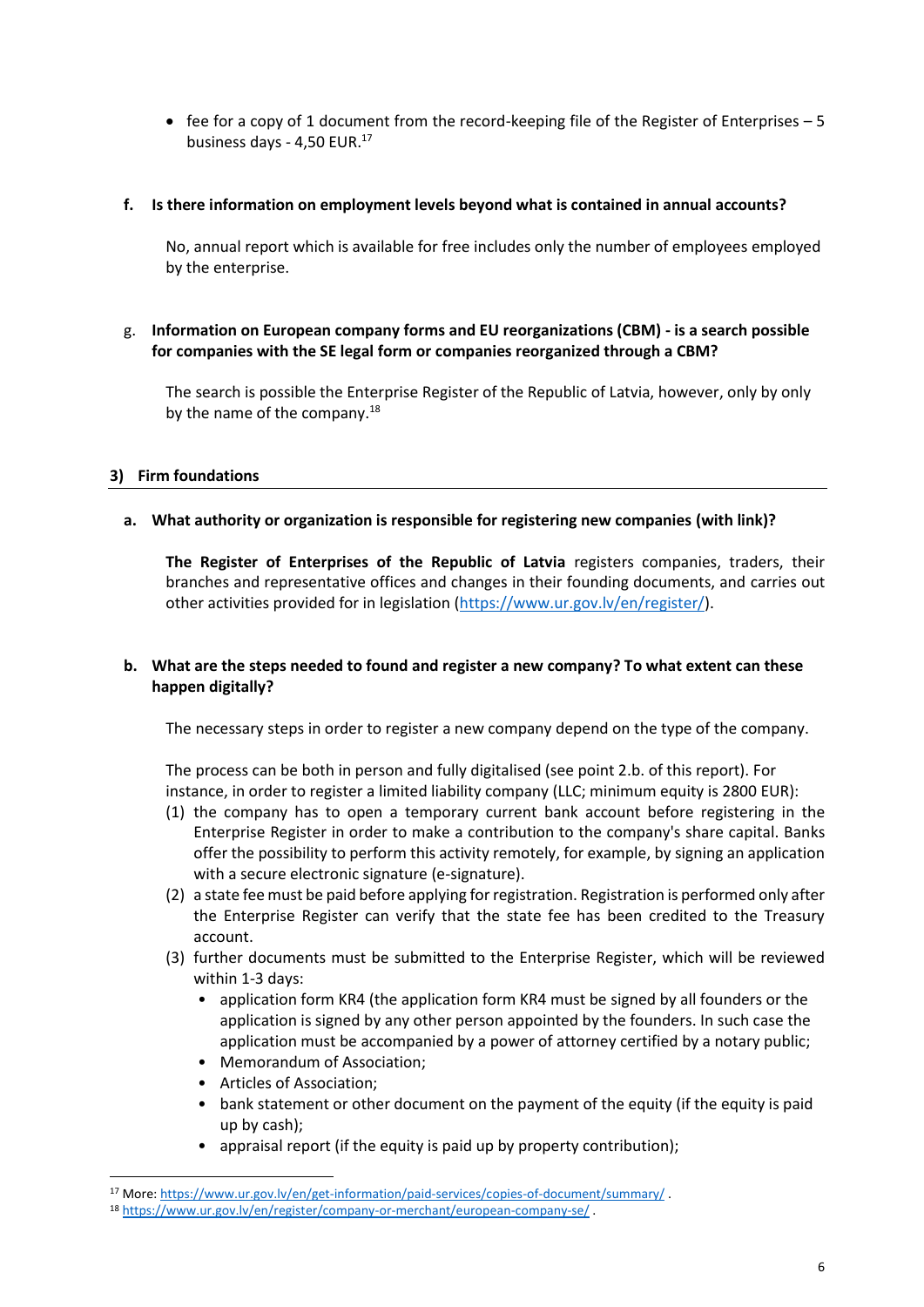• fee for a copy of 1 document from the record-keeping file of the Register of Enterprises – 5 business days - 4,50 EUR.<sup>17</sup>

#### **f. Is there information on employment levels beyond what is contained in annual accounts?**

No, annual report which is available for free includes only the number of employees employed by the enterprise.

## g. **Information on European company forms and EU reorganizations (CBM) - is a search possible for companies with the SE legal form or companies reorganized through a CBM?**

The search is possible the Enterprise Register of the Republic of Latvia, however, only by only by the name of the company.<sup>18</sup>

## **3) Firm foundations**

## **a. What authority or organization is responsible for registering new companies (with link)?**

**The Register of Enterprises of the Republic of Latvia** registers companies, traders, their branches and representative offices and changes in their founding documents, and carries out other activities provided for in legislation [\(https://www.ur.gov.lv/en/register/\)](https://www.ur.gov.lv/en/register/).

# **b. What are the steps needed to found and register a new company? To what extent can these happen digitally?**

The necessary steps in order to register a new company depend on the type of the company.

The process can be both in person and fully digitalised (see point 2.b. of this report). For instance, in order to register a limited liability company (LLC; minimum equity is 2800 EUR):

- (1) the company has to open a temporary current bank account before registering in the Enterprise Register in order to make a contribution to the company's share capital. Banks offer the possibility to perform this activity remotely, for example, by signing an application with a secure electronic signature (e-signature).
- (2) a state fee must be paid before applying for registration. Registration is performed only after the Enterprise Register can verify that the state fee has been credited to the Treasury account.
- (3) further documents must be submitted to the Enterprise Register, which will be reviewed within 1-3 days:
	- application form KR4 (the application form KR4 must be signed by all founders or the application is signed by any other person appointed by the founders. In such case the application must be accompanied by a power of attorney certified by a notary public;
	- Memorandum of Association;
	- Articles of Association;
	- bank statement or other document on the payment of the equity (if the equity is paid up by cash);
	- appraisal report (if the equity is paid up by property contribution);

<sup>17</sup> More[: https://www.ur.gov.lv/en/get-information/paid-services/copies-of-document/summary/](https://www.ur.gov.lv/en/get-information/paid-services/copies-of-document/summary/) .

<sup>18</sup> <https://www.ur.gov.lv/en/register/company-or-merchant/european-company-se/> .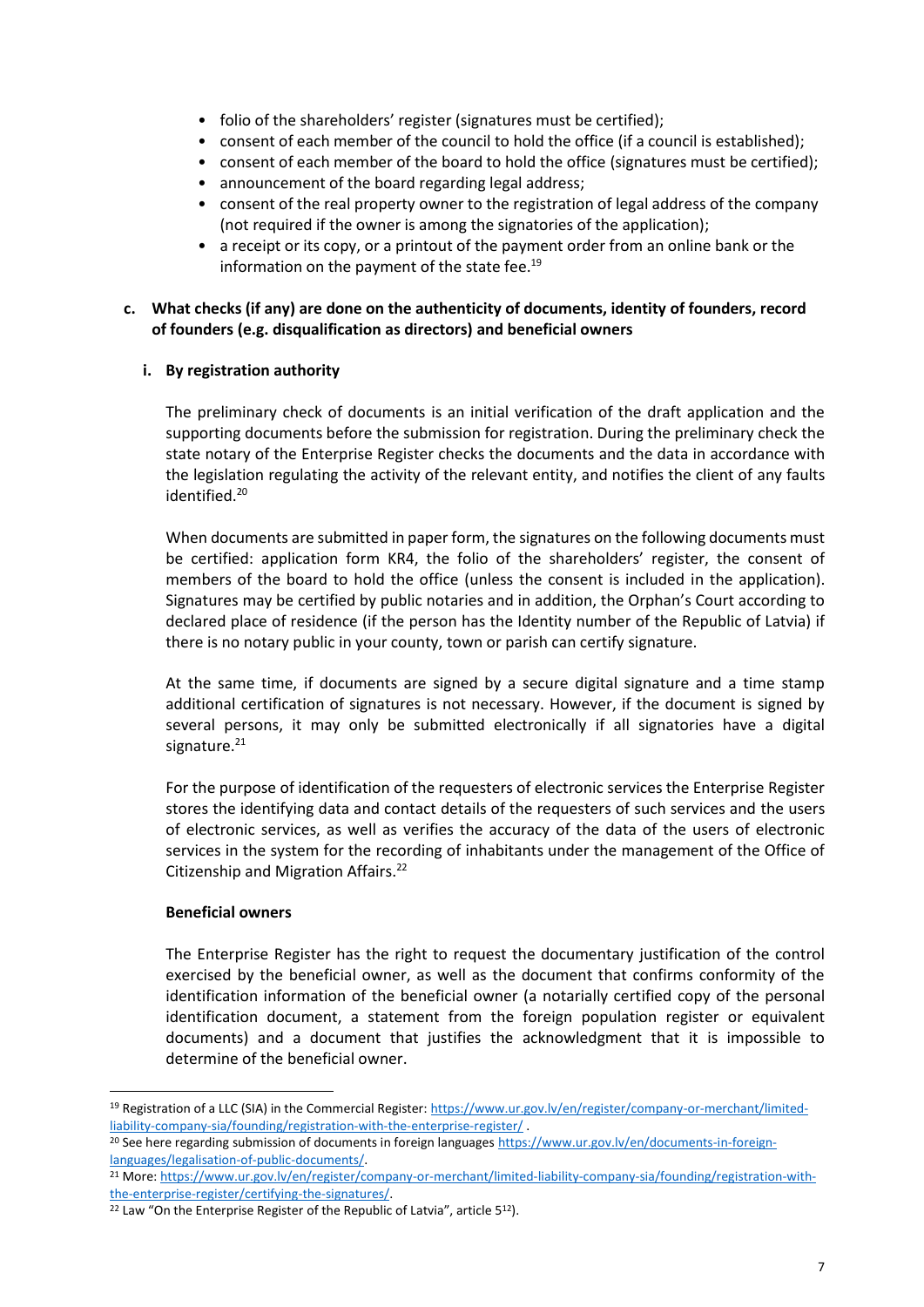- folio of the shareholders' register (signatures must be certified);
- consent of each member of the council to hold the office (if a council is established);
- consent of each member of the board to hold the office (signatures must be certified);
- announcement of the board regarding legal address;
- consent of the real property owner to the registration of legal address of the company (not required if the owner is among the signatories of the application);
- a receipt or its copy, or a printout of the payment order from an online bank or the information on the payment of the state fee. 19

#### **c. What checks (if any) are done on the authenticity of documents, identity of founders, record of founders (e.g. disqualification as directors) and beneficial owners**

## **i. By registration authority**

The preliminary check of documents is an initial verification of the draft application and the supporting documents before the submission for registration. During the preliminary check the state notary of the Enterprise Register checks the documents and the data in accordance with the legislation regulating the activity of the relevant entity, and notifies the client of any faults identified.<sup>20</sup>

When documents are submitted in paper form, the signatures on the following documents must be certified: application form KR4, the folio of the shareholders' register, the consent of members of the board to hold the office (unless the consent is included in the application). Signatures may be certified by public notaries and in addition, the Orphan's Court according to declared place of residence (if the person has the Identity number of the Republic of Latvia) if there is no notary public in your county, town or parish can certify signature.

At the same time, if documents are signed by a secure digital signature and a time stamp additional certification of signatures is not necessary. However, if the document is signed by several persons, it may only be submitted electronically if all signatories have a digital signature. $21$ 

For the purpose of identification of the requesters of electronic services the Enterprise Register stores the identifying data and contact details of the requesters of such services and the users of electronic services, as well as verifies the accuracy of the data of the users of electronic services in the system for the recording of inhabitants under the management of the Office of Citizenship and Migration Affairs.<sup>22</sup>

#### **Beneficial owners**

The Enterprise Register has the right to request the documentary justification of the control exercised by the beneficial owner, as well as the document that confirms conformity of the identification information of the beneficial owner (a notarially certified copy of the personal identification document, a statement from the foreign population register or equivalent documents) and a document that justifies the acknowledgment that it is impossible to determine of the beneficial owner.

<sup>&</sup>lt;sup>19</sup> Registration of a LLC (SIA) in the Commercial Register: [https://www.ur.gov.lv/en/register/company-or-merchant/limited](https://www.ur.gov.lv/en/register/company-or-merchant/limited-liability-company-sia/founding/registration-with-the-enterprise-register/)[liability-company-sia/founding/registration-with-the-enterprise-register/](https://www.ur.gov.lv/en/register/company-or-merchant/limited-liability-company-sia/founding/registration-with-the-enterprise-register/) .

<sup>&</sup>lt;sup>20</sup> See here regarding submission of documents in foreign languages [https://www.ur.gov.lv/en/documents-in-foreign](https://www.ur.gov.lv/en/documents-in-foreign-languages/legalisation-of-public-documents/)[languages/legalisation-of-public-documents/.](https://www.ur.gov.lv/en/documents-in-foreign-languages/legalisation-of-public-documents/)

<sup>21</sup> More[: https://www.ur.gov.lv/en/register/company-or-merchant/limited-liability-company-sia/founding/registration-with](https://www.ur.gov.lv/en/register/company-or-merchant/limited-liability-company-sia/founding/registration-with-the-enterprise-register/certifying-the-signatures/)[the-enterprise-register/certifying-the-signatures/.](https://www.ur.gov.lv/en/register/company-or-merchant/limited-liability-company-sia/founding/registration-with-the-enterprise-register/certifying-the-signatures/)

<sup>&</sup>lt;sup>22</sup> Law "On the Enterprise Register of the Republic of Latvia", article 5<sup>12</sup>).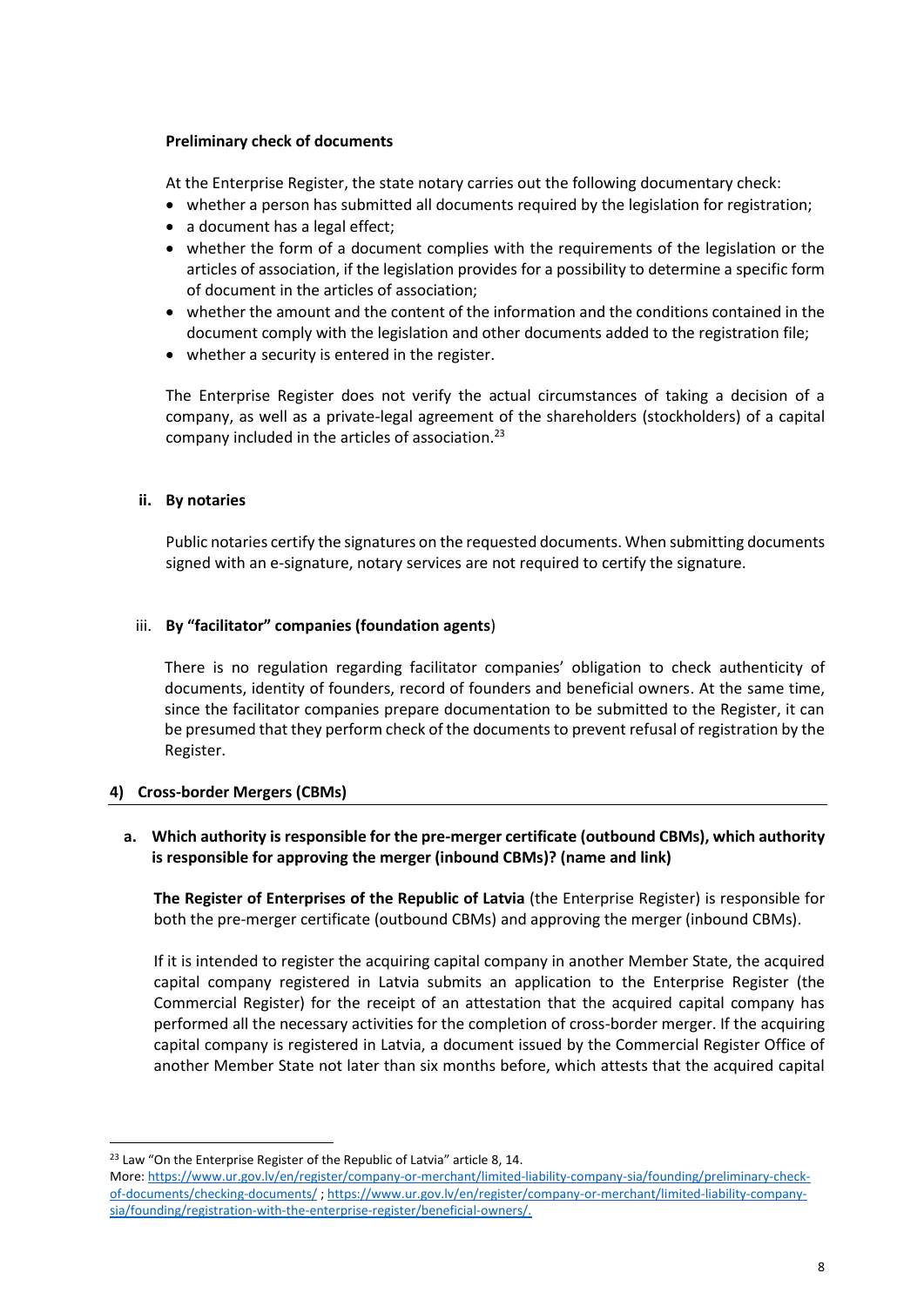#### **Preliminary check of documents**

At the Enterprise Register, the state notary carries out the following documentary check:

- whether a person has submitted all documents required by the legislation for registration;
- a document has a legal effect;
- whether the form of a document complies with the requirements of the legislation or the articles of association, if the legislation provides for a possibility to determine a specific form of document in the articles of association;
- whether the amount and the content of the information and the conditions contained in the document comply with the legislation and other documents added to the registration file;
- whether a security is entered in the register.

The Enterprise Register does not verify the actual circumstances of taking a decision of a company, as well as a private-legal agreement of the shareholders (stockholders) of a capital company included in the articles of association.<sup>23</sup>

## **ii. By notaries**

Public notaries certify the signatures on the requested documents. When submitting documents signed with an e-signature, notary services are not required to certify the signature.

## iii. **By "facilitator" companies (foundation agents**)

There is no regulation regarding facilitator companies' obligation to check authenticity of documents, identity of founders, record of founders and beneficial owners. At the same time, since the facilitator companies prepare documentation to be submitted to the Register, it can be presumed that they perform check of the documents to prevent refusal of registration by the Register.

#### **4) Cross-border Mergers (CBMs)**

# **a. Which authority is responsible for the pre-merger certificate (outbound CBMs), which authority is responsible for approving the merger (inbound CBMs)? (name and link)**

**The Register of Enterprises of the Republic of Latvia** (the Enterprise Register) is responsible for both the pre-merger certificate (outbound CBMs) and approving the merger (inbound CBMs).

If it is intended to register the acquiring capital company in another Member State, the acquired capital company registered in Latvia submits an application to the Enterprise Register (the Commercial Register) for the receipt of an attestation that the acquired capital company has performed all the necessary activities for the completion of cross-border merger. If the acquiring capital company is registered in Latvia, a document issued by the Commercial Register Office of another Member State not later than six months before, which attests that the acquired capital

<sup>&</sup>lt;sup>23</sup> Law "On the Enterprise Register of the Republic of Latvia" article 8, 14.

More[: https://www.ur.gov.lv/en/register/company-or-merchant/limited-liability-company-sia/founding/preliminary-check](https://www.ur.gov.lv/en/register/company-or-merchant/limited-liability-company-sia/founding/preliminary-check-of-documents/checking-documents/)[of-documents/checking-documents/](https://www.ur.gov.lv/en/register/company-or-merchant/limited-liability-company-sia/founding/preliminary-check-of-documents/checking-documents/) ; [https://www.ur.gov.lv/en/register/company-or-merchant/limited-liability-company](https://www.ur.gov.lv/en/register/company-or-merchant/limited-liability-company-sia/founding/registration-with-the-enterprise-register/beneficial-owners/)[sia/founding/registration-with-the-enterprise-register/beneficial-owners/.](https://www.ur.gov.lv/en/register/company-or-merchant/limited-liability-company-sia/founding/registration-with-the-enterprise-register/beneficial-owners/)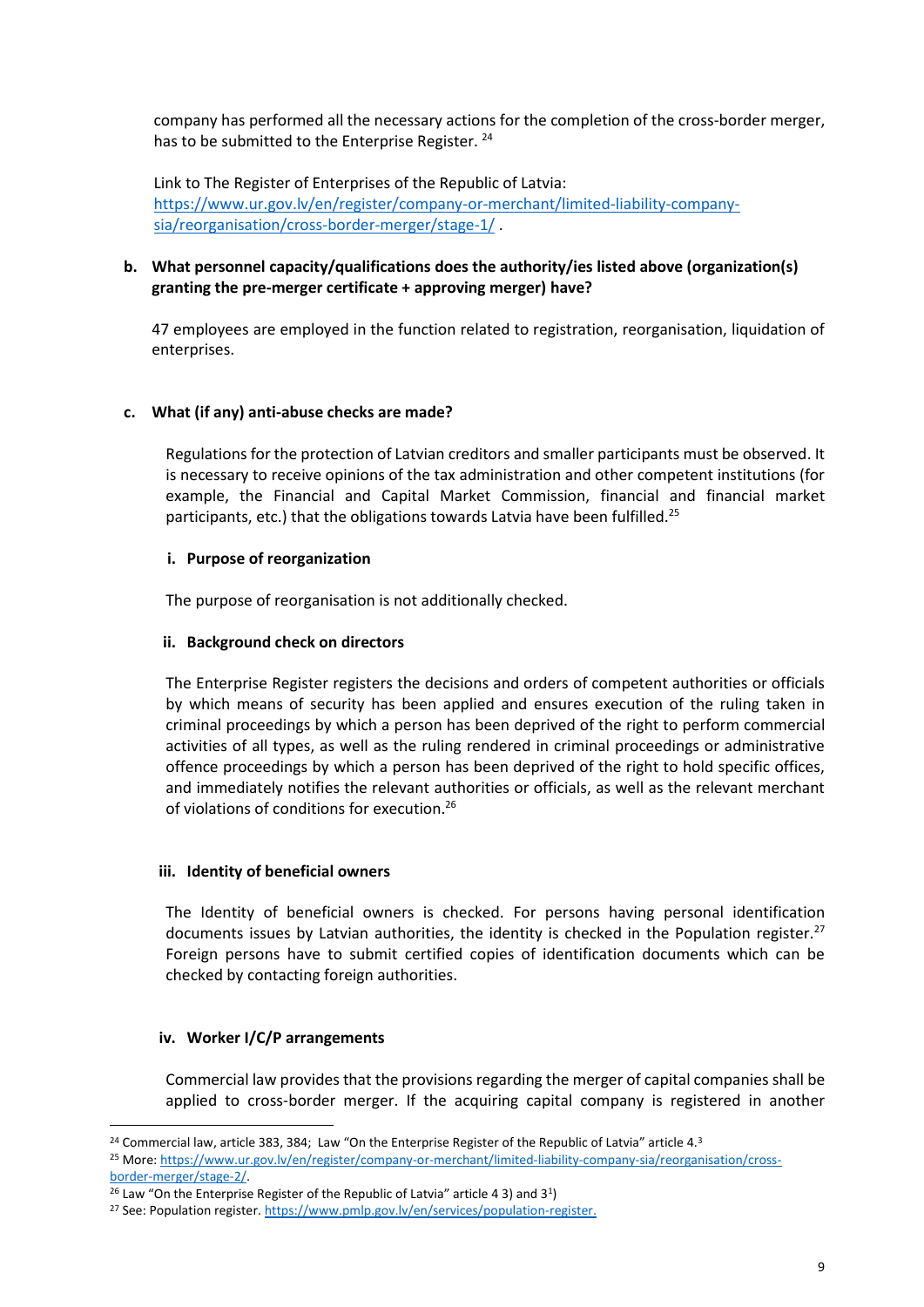company has performed all the necessary actions for the completion of the cross-border merger, has to be submitted to the Enterprise Register.<sup>24</sup>

Link to The Register of Enterprises of the Republic of Latvia: [https://www.ur.gov.lv/en/register/company-or-merchant/limited-liability-company](https://www.ur.gov.lv/en/register/company-or-merchant/limited-liability-company-sia/reorganisation/cross-border-merger/stage-1/)[sia/reorganisation/cross-border-merger/stage-1/](https://www.ur.gov.lv/en/register/company-or-merchant/limited-liability-company-sia/reorganisation/cross-border-merger/stage-1/) .

## **b. What personnel capacity/qualifications does the authority/ies listed above (organization(s) granting the pre-merger certificate + approving merger) have?**

47 employees are employed in the function related to registration, reorganisation, liquidation of enterprises.

## **c. What (if any) anti-abuse checks are made?**

Regulations for the protection of Latvian creditors and smaller participants must be observed. It is necessary to receive opinions of the tax administration and other competent institutions (for example, the Financial and Capital Market Commission, financial and financial market participants, etc.) that the obligations towards Latvia have been fulfilled.<sup>25</sup>

#### **i. Purpose of reorganization**

The purpose of reorganisation is not additionally checked.

## **ii. Background check on directors**

The Enterprise Register registers the decisions and orders of competent authorities or officials by which means of security has been applied and ensures execution of the ruling taken in criminal proceedings by which a person has been deprived of the right to perform commercial activities of all types, as well as the ruling rendered in criminal proceedings or administrative offence proceedings by which a person has been deprived of the right to hold specific offices, and immediately notifies the relevant authorities or officials, as well as the relevant merchant of violations of conditions for execution.<sup>26</sup>

#### **iii. Identity of beneficial owners**

The Identity of beneficial owners is checked. For persons having personal identification documents issues by Latvian authorities, the identity is checked in the Population register. $27$ Foreign persons have to submit certified copies of identification documents which can be checked by contacting foreign authorities.

#### **iv. Worker I/C/P arrangements**

Commercial law provides that the provisions regarding the merger of capital companies shall be applied to cross-border merger. If the acquiring capital company is registered in another

<sup>&</sup>lt;sup>24</sup> Commercial law, article 383, 384; Law "On the Enterprise Register of the Republic of Latvia" article 4.<sup>3</sup>

<sup>25</sup> More[: https://www.ur.gov.lv/en/register/company-or-merchant/limited-liability-company-sia/reorganisation/cross-](https://www.ur.gov.lv/en/register/company-or-merchant/limited-liability-company-sia/reorganisation/cross-border-merger/stage-2/)

[border-merger/stage-2/.](https://www.ur.gov.lv/en/register/company-or-merchant/limited-liability-company-sia/reorganisation/cross-border-merger/stage-2/)

 $26$  Law "On the Enterprise Register of the Republic of Latvia" article 4 3) and 3<sup>1</sup>)

<sup>27</sup> See: Population register[. https://www.pmlp.gov.lv/en/services/population-register.](https://www.pmlp.gov.lv/en/services/population-register)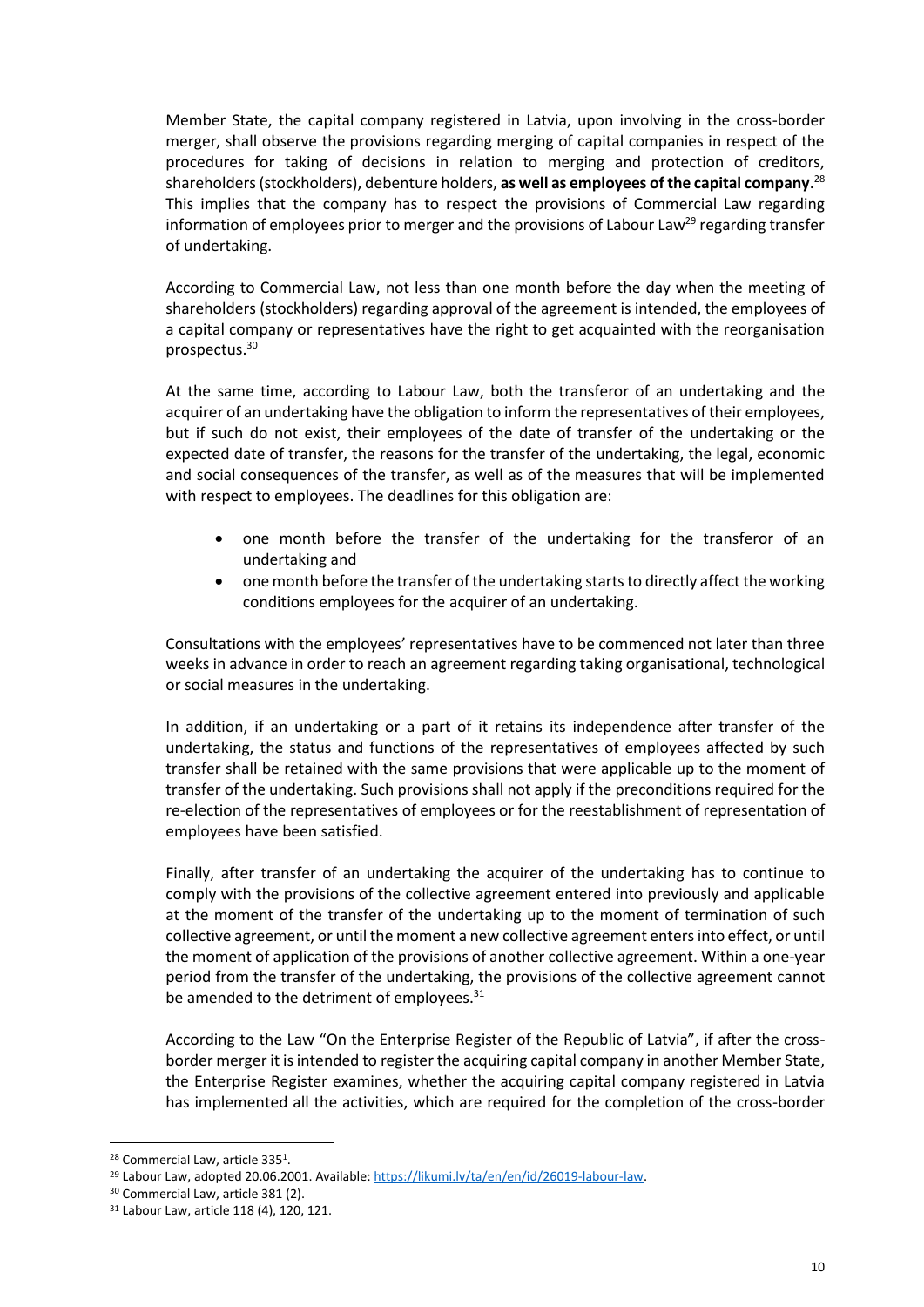Member State, the capital company registered in Latvia, upon involving in the cross-border merger, shall observe the provisions regarding merging of capital companies in respect of the procedures for taking of decisions in relation to merging and protection of creditors, shareholders (stockholders), debenture holders, **as well as employees of the capital company**. 28 This implies that the company has to respect the provisions of Commercial Law regarding information of employees prior to merger and the provisions of Labour Law<sup>29</sup> regarding transfer of undertaking.

According to Commercial Law, not less than one month before the day when the meeting of shareholders (stockholders) regarding approval of the agreement is intended, the employees of a capital company or representatives have the right to get acquainted with the reorganisation prospectus.<sup>30</sup>

At the same time, according to Labour Law, both the transferor of an undertaking and the acquirer of an undertaking have the obligation to inform the representatives of their employees, but if such do not exist, their employees of the date of transfer of the undertaking or the expected date of transfer, the reasons for the transfer of the undertaking, the legal, economic and social consequences of the transfer, as well as of the measures that will be implemented with respect to employees. The deadlines for this obligation are:

- one month before the transfer of the undertaking for the transferor of an undertaking and
- one month before the transfer of the undertaking starts to directly affect the working conditions employees for the acquirer of an undertaking.

Consultations with the employees' representatives have to be commenced not later than three weeks in advance in order to reach an agreement regarding taking organisational, technological or social measures in the undertaking.

In addition, if an undertaking or a part of it retains its independence after transfer of the undertaking, the status and functions of the representatives of employees affected by such transfer shall be retained with the same provisions that were applicable up to the moment of transfer of the undertaking. Such provisions shall not apply if the preconditions required for the re-election of the representatives of employees or for the reestablishment of representation of employees have been satisfied.

Finally, after transfer of an undertaking the acquirer of the undertaking has to continue to comply with the provisions of the collective agreement entered into previously and applicable at the moment of the transfer of the undertaking up to the moment of termination of such collective agreement, or until the moment a new collective agreement enters into effect, or until the moment of application of the provisions of another collective agreement. Within a one-year period from the transfer of the undertaking, the provisions of the collective agreement cannot be amended to the detriment of employees.<sup>31</sup>

According to the Law "On the Enterprise Register of the Republic of Latvia", if after the crossborder merger it is intended to register the acquiring capital company in another Member State, the Enterprise Register examines, whether the acquiring capital company registered in Latvia has implemented all the activities, which are required for the completion of the cross-border

<sup>&</sup>lt;sup>28</sup> Commercial Law, article 335<sup>1</sup>.

<sup>&</sup>lt;sup>29</sup> Labour Law, adopted 20.06.2001. Available: [https://likumi.lv/ta/en/en/id/26019-labour-law.](https://likumi.lv/ta/en/en/id/26019-labour-law)

<sup>30</sup> Commercial Law, article 381 (2).

<sup>31</sup> Labour Law, article 118 (4), 120, 121.